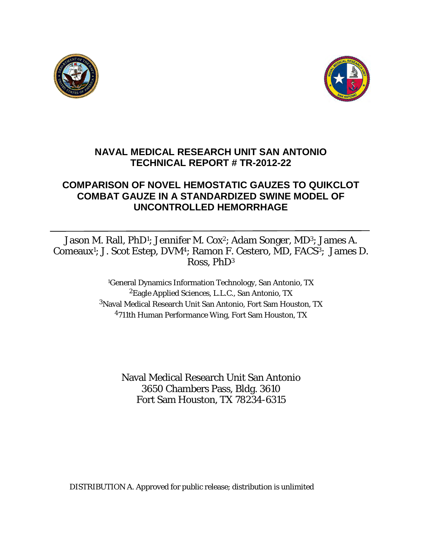



# **NAVAL MEDICAL RESEARCH UNIT SAN ANTONIO TECHNICAL REPORT # TR-2012-22**

# **COMPARISON OF NOVEL HEMOSTATIC GAUZES TO QUIKCLOT COMBAT GAUZE IN A STANDARDIZED SWINE MODEL OF UNCONTROLLED HEMORRHAGE**

Jason M. Rall, PhD<sup>1</sup>; Jennifer M. Cox<sup>2</sup>; Adam Songer, MD<sup>3</sup>; James A. Comeaux1; J. Scot Estep, DVM4; Ramon F. Cestero, MD, FACS3; James D. Ross, PhD3

> 1General Dynamics Information Technology, San Antonio, TX 2Eagle Applied Sciences, L.L.C., San Antonio, TX 3Naval Medical Research Unit San Antonio, Fort Sam Houston, TX 4711th Human Performance Wing, Fort Sam Houston, TX

> > Naval Medical Research Unit San Antonio 3650 Chambers Pass, Bldg. 3610 Fort Sam Houston, TX 78234-6315

DISTRIBUTION A. Approved for public release; distribution is unlimited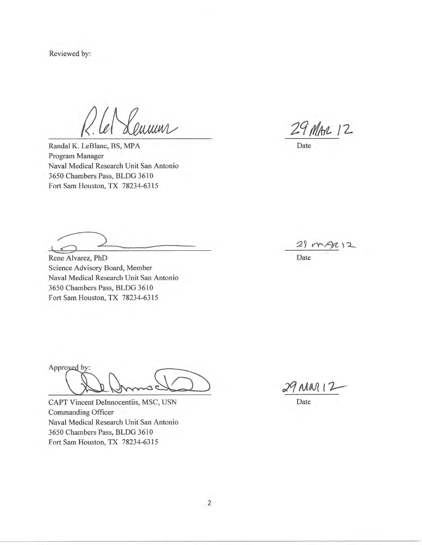Reviewed by:

umen

Randal K. LeBlanc, BS, MPA Program Manager Naval Medical Research Unit San Antonio 3650 Chambers Pass, BLDG 3610 Fort Sam Houston, TX 78234-6315

 $\perp$ 

Rene Alvarez, PhD Science Advisory Board, Member Naval Medical Research Unit San Antonio 3650 Chambers Pass, BLDG 3610 Fort Sam Houston, TX 78234-6315

Approved by:

CAPT Vincent DeInnocentiis, MSC, USN Commanding Officer Naval Medical Research Unit San Antonio 3650 Chambers Pass, BLDG 3610 Fort Sam Houston, TX 78234-6315

29 MAR 12

Date

 $29m$  $2(2)2$ 

Date

 $29$  Mar  $12$ 

Date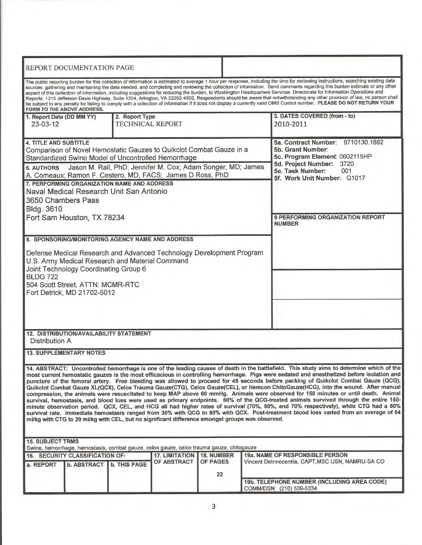| REPORT DOCUMENTATION PAGE                                                                                                                                                                                                                                                                                                                                                                                                                                                                                                                                                                                                                                                                                                                                                                                                                                                                                                                                                                                                                                                                                                                                                                                                         |                                                                                                                                                                                |  |  |  |
|-----------------------------------------------------------------------------------------------------------------------------------------------------------------------------------------------------------------------------------------------------------------------------------------------------------------------------------------------------------------------------------------------------------------------------------------------------------------------------------------------------------------------------------------------------------------------------------------------------------------------------------------------------------------------------------------------------------------------------------------------------------------------------------------------------------------------------------------------------------------------------------------------------------------------------------------------------------------------------------------------------------------------------------------------------------------------------------------------------------------------------------------------------------------------------------------------------------------------------------|--------------------------------------------------------------------------------------------------------------------------------------------------------------------------------|--|--|--|
| The public reporting burden for this collection of information is estimated to average 1 hour per response, including the time for reviewing instructions, searching existing data<br>sources, gathering and maintaining the data needed, and completing and reviewing the collection of information. Send comments regarding this burden estimate or any other<br>aspect of this collection of information, including suggestions for reducing the burden, to Washington Headquarters Services, Directorate for Information Operations and<br>Reports, 1215 Jefferson Davis Highway, Suite 1204, Arlington, VA 22202-4302, Respondents should be aware that notwithstanding any other provision of law, no person shall<br>be subject to any penalty for failing to comply with a collection of information if it does not display a currently valid OMB Control number. PLEASE DO NOT RETURN YOUR<br>FORM TO THE ABOVE ADDRESS.                                                                                                                                                                                                                                                                                                 |                                                                                                                                                                                |  |  |  |
| 2. Report Type<br>1. Report Date (DD MM YY)<br><b>TECHNICAL REPORT</b><br>$23 - 03 - 12$                                                                                                                                                                                                                                                                                                                                                                                                                                                                                                                                                                                                                                                                                                                                                                                                                                                                                                                                                                                                                                                                                                                                          | 3. DATES COVERED (from - to)<br>2010-2011                                                                                                                                      |  |  |  |
| <b>4. TITLE AND SUBTITLE</b><br>Comparison of Novel Hemostatic Gauzes to Quikclot Combat Gauze in a<br>Standardized Swine Model of Uncontrolled Hemorrhage<br>Jason M. Rall, PhD; Jennifer M. Cox; Adam Songer, MD; James<br><b>6. AUTHORS</b><br>A. Comeaux; Ramon F. Cestero, MD, FACS; James D Ross, PhD<br>7. PERFORMING ORGANIZATION NAME AND ADDRESS<br>Naval Medical Research Unit San Antonio<br>3650 Chambers Pass<br>Bldg. 3610                                                                                                                                                                                                                                                                                                                                                                                                                                                                                                                                                                                                                                                                                                                                                                                         | 5a. Contract Number: 9710130.1882<br>5b. Grant Number:<br>5c. Program Element: 0602115HP<br>5d. Project Number: 3720<br>5e. Task Number:<br>001<br>5f. Work Unit Number: G1017 |  |  |  |
| Fort Sam Houston, TX 78234                                                                                                                                                                                                                                                                                                                                                                                                                                                                                                                                                                                                                                                                                                                                                                                                                                                                                                                                                                                                                                                                                                                                                                                                        | 9 PERFORMING ORGANIZATION REPORT<br><b>NUMBER</b>                                                                                                                              |  |  |  |
| 8. SPONSORING/MONITORING AGENCY NAME AND ADDRESS<br>Defense Medical Research and Advanced Technology Development Program<br>U.S. Army Medical Research and Material Command<br>Joint Technology Coordinating Group 6<br><b>BLDG 722</b><br>504 Scott Street, ATTN: MCMR-RTC<br>Fort Detrick, MD 21702-5012                                                                                                                                                                                                                                                                                                                                                                                                                                                                                                                                                                                                                                                                                                                                                                                                                                                                                                                        |                                                                                                                                                                                |  |  |  |
| 12. DISTRIBUTION/AVAILABILITY STATEMENT<br>Distribution A                                                                                                                                                                                                                                                                                                                                                                                                                                                                                                                                                                                                                                                                                                                                                                                                                                                                                                                                                                                                                                                                                                                                                                         |                                                                                                                                                                                |  |  |  |
| <b>13. SUPPLEMENTARY NOTES</b>                                                                                                                                                                                                                                                                                                                                                                                                                                                                                                                                                                                                                                                                                                                                                                                                                                                                                                                                                                                                                                                                                                                                                                                                    |                                                                                                                                                                                |  |  |  |
| 14. ABSTRACT: Uncontrolled hemorrhage is one of the leading causes of death in the battlefield. This study aims to determine which of the<br>most current hemostatic gauzes is the most efficacious in controlling hemorrhage. Pigs were sedated and anesthetized before isolation and<br>puncture of the femoral artery. Free bleeding was allowed to proceed for 45 seconds before packing of Quikclot Combat Gauze (QCG),<br>Quikclot Combat Gauze XL(QCX), Celox Trauma Gauze(CTG), Celox Gauze(CEL), or Hemcon ChitoGauze(HCG), into the wound. After manual<br>compression, the animals were resuscitated to keep MAP above 60 mmHg. Animals were observed for 150 minutes or until death. Animal<br>survival, hemostasis, and blood loss were used as primary endpoints. 60% of the QCG-treated animals survived through the entire 150-<br>minute observation period. QCX, CEL, and HCG all had higher rates of survival (70%, 90%, and 70% respectively), while CTG had a 50%<br>survival rate. Immediate hemostasis ranged from 30% with QCG to 80% with QCX. Post-treatment blood loss varied from an average of 64<br>ml/kg with CTG to 29 ml/kg with CEL, but no significant difference amongst groups was observed. |                                                                                                                                                                                |  |  |  |
| <b>15. SUBJECT TRMS</b>                                                                                                                                                                                                                                                                                                                                                                                                                                                                                                                                                                                                                                                                                                                                                                                                                                                                                                                                                                                                                                                                                                                                                                                                           |                                                                                                                                                                                |  |  |  |
| Swine, hemorrhage, hemostasis, combat gauze, celox gauze, celox trauma gauze, chitogauze<br>16. SECURITY CLASSIFICATION OF:<br><b>17. LIMITATION</b><br><b>18. NUMBER</b><br>OF PAGES<br>OF ABSTRACT<br><b>b. THIS PAGE</b><br>b. ABSTRACT<br>a. REPORT                                                                                                                                                                                                                                                                                                                                                                                                                                                                                                                                                                                                                                                                                                                                                                                                                                                                                                                                                                           | 19a. NAME OF RESPONSIBLE PERSON<br>Vincent DeInnocentiis, CAPT, MSC USN, NAMRU-SA CO                                                                                           |  |  |  |
| 22                                                                                                                                                                                                                                                                                                                                                                                                                                                                                                                                                                                                                                                                                                                                                                                                                                                                                                                                                                                                                                                                                                                                                                                                                                | 19b. TELEPHONE NUMBER (INCLUDING AREA CODE)                                                                                                                                    |  |  |  |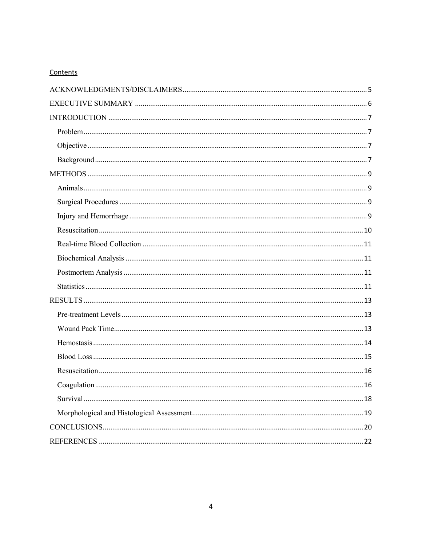## Contents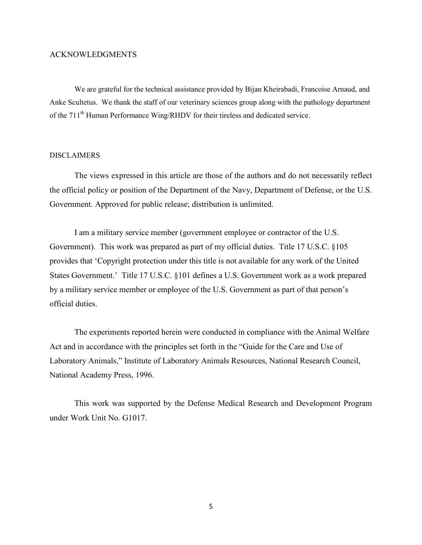## <span id="page-4-0"></span>ACKNOWLEDGMENTS

We are grateful for the technical assistance provided by Bijan Kheirabadi, Francoise Arnaud, and Anke Scultetus. We thank the staff of our veterinary sciences group along with the pathology department of the 711<sup>th</sup> Human Performance Wing/RHDV for their tireless and dedicated service.

## DISCLAIMERS

The views expressed in this article are those of the authors and do not necessarily reflect the official policy or position of the Department of the Navy, Department of Defense, or the U.S. Government. Approved for public release; distribution is unlimited.

I am a military service member (government employee or contractor of the U.S. Government). This work was prepared as part of my official duties. Title 17 U.S.C. §105 provides that 'Copyright protection under this title is not available for any work of the United States Government.' Title 17 U.S.C. §101 defines a U.S. Government work as a work prepared by a military service member or employee of the U.S. Government as part of that person's official duties.

The experiments reported herein were conducted in compliance with the Animal Welfare Act and in accordance with the principles set forth in the "Guide for the Care and Use of Laboratory Animals," Institute of Laboratory Animals Resources, National Research Council, National Academy Press, 1996.

This work was supported by the Defense Medical Research and Development Program under Work Unit No. G1017.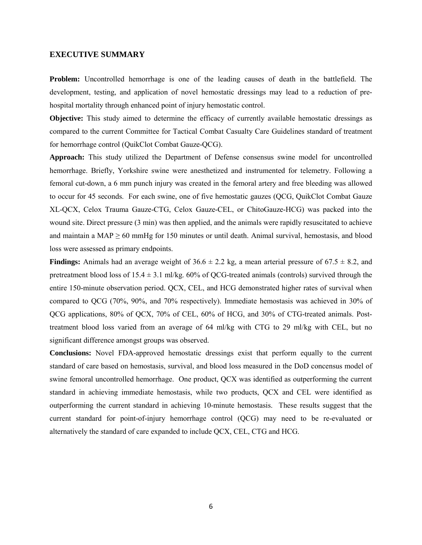#### <span id="page-5-0"></span>**EXECUTIVE SUMMARY**

Problem: Uncontrolled hemorrhage is one of the leading causes of death in the battlefield. The development, testing, and application of novel hemostatic dressings may lead to a reduction of prehospital mortality through enhanced point of injury hemostatic control.

**Objective:** This study aimed to determine the efficacy of currently available hemostatic dressings as compared to the current Committee for Tactical Combat Casualty Care Guidelines standard of treatment for hemorrhage control (QuikClot Combat Gauze-QCG).

**Approach:** This study utilized the Department of Defense consensus swine model for uncontrolled hemorrhage. Briefly, Yorkshire swine were anesthetized and instrumented for telemetry. Following a femoral cut-down, a 6 mm punch injury was created in the femoral artery and free bleeding was allowed to occur for 45 seconds. For each swine, one of five hemostatic gauzes (QCG, QuikClot Combat Gauze XL-QCX, Celox Trauma Gauze-CTG, Celox Gauze-CEL, or ChitoGauze-HCG) was packed into the wound site. Direct pressure (3 min) was then applied, and the animals were rapidly resuscitated to achieve and maintain a MAP  $\geq$  60 mmHg for 150 minutes or until death. Animal survival, hemostasis, and blood loss were assessed as primary endpoints.

**Findings:** Animals had an average weight of  $36.6 \pm 2.2$  kg, a mean arterial pressure of  $67.5 \pm 8.2$ , and pretreatment blood loss of  $15.4 \pm 3.1$  ml/kg. 60% of QCG-treated animals (controls) survived through the entire 150-minute observation period. QCX, CEL, and HCG demonstrated higher rates of survival when compared to QCG (70%, 90%, and 70% respectively). Immediate hemostasis was achieved in 30% of QCG applications, 80% of QCX, 70% of CEL, 60% of HCG, and 30% of CTG-treated animals. Posttreatment blood loss varied from an average of 64 ml/kg with CTG to 29 ml/kg with CEL, but no significant difference amongst groups was observed.

**Conclusions:** Novel FDA-approved hemostatic dressings exist that perform equally to the current standard of care based on hemostasis, survival, and blood loss measured in the DoD concensus model of swine femoral uncontrolled hemorrhage. One product, QCX was identified as outperforming the current standard in achieving immediate hemostasis, while two products, QCX and CEL were identified as outperforming the current standard in achieving 10-minute hemostasis. These results suggest that the current standard for point-of-injury hemorrhage control (QCG) may need to be re-evaluated or alternatively the standard of care expanded to include QCX, CEL, CTG and HCG.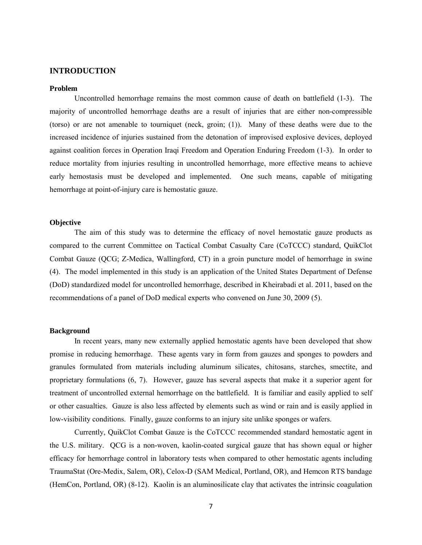#### <span id="page-6-0"></span>**INTRODUCTION**

#### <span id="page-6-1"></span>**Problem**

Uncontrolled hemorrhage remains the most common cause of death on battlefield (1-3). The majority of uncontrolled hemorrhage deaths are a result of injuries that are either non-compressible (torso) or are not amenable to tourniquet (neck, groin; (1)). Many of these deaths were due to the increased incidence of injuries sustained from the detonation of improvised explosive devices, deployed against coalition forces in Operation Iraqi Freedom and Operation Enduring Freedom (1-3). In order to reduce mortality from injuries resulting in uncontrolled hemorrhage, more effective means to achieve early hemostasis must be developed and implemented. One such means, capable of mitigating hemorrhage at point-of-injury care is hemostatic gauze.

#### <span id="page-6-2"></span>**Objective**

The aim of this study was to determine the efficacy of novel hemostatic gauze products as compared to the current Committee on Tactical Combat Casualty Care (CoTCCC) standard, QuikClot Combat Gauze (QCG; Z-Medica, Wallingford, CT) in a groin puncture model of hemorrhage in swine (4). The model implemented in this study is an application of the United States Department of Defense (DoD) standardized model for uncontrolled hemorrhage, described in Kheirabadi et al. 2011, based on the recommendations of a panel of DoD medical experts who convened on June 30, 2009 (5).

#### <span id="page-6-3"></span>**Background**

In recent years, many new externally applied hemostatic agents have been developed that show promise in reducing hemorrhage. These agents vary in form from gauzes and sponges to powders and granules formulated from materials including aluminum silicates, chitosans, starches, smectite, and proprietary formulations (6, 7). However, gauze has several aspects that make it a superior agent for treatment of uncontrolled external hemorrhage on the battlefield. It is familiar and easily applied to self or other casualties. Gauze is also less affected by elements such as wind or rain and is easily applied in low-visibility conditions. Finally, gauze conforms to an injury site unlike sponges or wafers.

Currently, QuikClot Combat Gauze is the CoTCCC recommended standard hemostatic agent in the U.S. military. QCG is a non-woven, kaolin-coated surgical gauze that has shown equal or higher efficacy for hemorrhage control in laboratory tests when compared to other hemostatic agents including TraumaStat (Ore-Medix, Salem, OR), Celox-D (SAM Medical, Portland, OR), and Hemcon RTS bandage (HemCon, Portland, OR) (8-12). Kaolin is an aluminosilicate clay that activates the intrinsic coagulation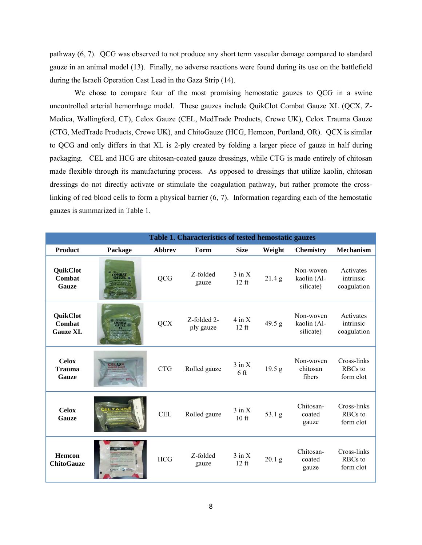pathway (6, 7). QCG was observed to not produce any short term vascular damage compared to standard gauze in an animal model (13). Finally, no adverse reactions were found during its use on the battlefield during the Israeli Operation Cast Lead in the Gaza Strip (14).

We chose to compare four of the most promising hemostatic gauzes to QCG in a swine uncontrolled arterial hemorrhage model. These gauzes include QuikClot Combat Gauze XL (QCX, Z-Medica, Wallingford, CT), Celox Gauze (CEL, MedTrade Products, Crewe UK), Celox Trauma Gauze (CTG, MedTrade Products, Crewe UK), and ChitoGauze (HCG, Hemcon, Portland, OR). QCX is similar to QCG and only differs in that XL is 2-ply created by folding a larger piece of gauze in half during packaging. CEL and HCG are chitosan-coated gauze dressings, while CTG is made entirely of chitosan made flexible through its manufacturing process. As opposed to dressings that utilize kaolin, chitosan dressings do not directly activate or stimulate the coagulation pathway, but rather promote the crosslinking of red blood cells to form a physical barrier (6, 7). Information regarding each of the hemostatic gauzes is summarized in Table 1.

|                                              | Table 1. Characteristics of tested hemostatic gauzes |               |                          |                               |                 |                                       |                                       |
|----------------------------------------------|------------------------------------------------------|---------------|--------------------------|-------------------------------|-----------------|---------------------------------------|---------------------------------------|
| <b>Product</b>                               | Package                                              | <b>Abbrev</b> | Form                     | <b>Size</b>                   | Weight          | <b>Chemistry</b>                      | <b>Mechanism</b>                      |
| QuikClot<br>Combat<br><b>Gauze</b>           |                                                      | QCG           | Z-folded<br>gauze        | $3$ in $X$<br>$12$ ft         | 21.4 g          | Non-woven<br>kaolin (Al-<br>silicate) | Activates<br>intrinsic<br>coagulation |
| <b>QuikClot</b><br>Combat<br><b>Gauze XL</b> |                                                      | <b>QCX</b>    | Z-folded 2-<br>ply gauze | $4$ in $X$<br>$12$ ft         | 49.5 g          | Non-woven<br>kaolin (Al-<br>silicate) | Activates<br>intrinsic<br>coagulation |
| <b>Celox</b><br><b>Trauma</b><br>Gauze       | <b>ELOX</b>                                          | <b>CTG</b>    | Rolled gauze             | $3$ in $X$<br>6 <sub>ft</sub> | 19.5 g          | Non-woven<br>chitosan<br>fibers       | Cross-links<br>RBCs to<br>form clot   |
| <b>Celox</b><br><b>Gauze</b>                 |                                                      | <b>CEL</b>    | Rolled gauze             | $3$ in $X$<br>$10$ ft         | $53.1\text{ g}$ | Chitosan-<br>coated<br>gauze          | Cross-links<br>RBCs to<br>form clot   |
| <b>Hemcon</b><br><b>ChitoGauze</b>           |                                                      | <b>HCG</b>    | Z-folded<br>gauze        | $3$ in $X$<br>$12$ ft         | $20.1\text{ g}$ | Chitosan-<br>coated<br>gauze          | Cross-links<br>RBCs to<br>form clot   |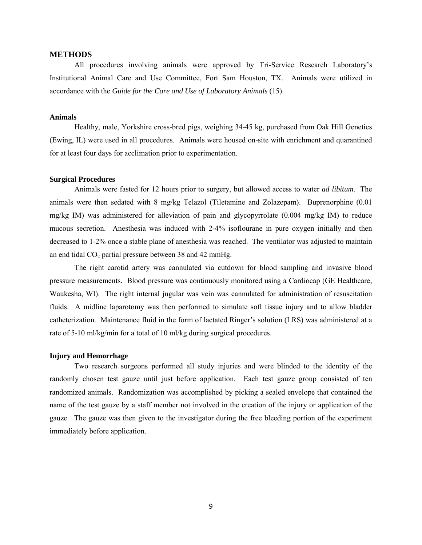#### <span id="page-8-0"></span>**METHODS**

All procedures involving animals were approved by Tri-Service Research Laboratory's Institutional Animal Care and Use Committee, Fort Sam Houston, TX. Animals were utilized in accordance with the *Guide for the Care and Use of Laboratory Animals* (15).

#### <span id="page-8-1"></span>**Animals**

Healthy, male, Yorkshire cross-bred pigs, weighing 34-45 kg, purchased from Oak Hill Genetics (Ewing, IL) were used in all procedures. Animals were housed on-site with enrichment and quarantined for at least four days for acclimation prior to experimentation.

#### <span id="page-8-2"></span>**Surgical Procedures**

Animals were fasted for 12 hours prior to surgery, but allowed access to water *ad libitum*. The animals were then sedated with 8 mg/kg Telazol (Tiletamine and Zolazepam). Buprenorphine (0.01 mg/kg IM) was administered for alleviation of pain and glycopyrrolate (0.004 mg/kg IM) to reduce mucous secretion. Anesthesia was induced with 2-4% isoflourane in pure oxygen initially and then decreased to 1-2% once a stable plane of anesthesia was reached. The ventilator was adjusted to maintain an end tidal  $CO<sub>2</sub>$  partial pressure between 38 and 42 mmHg.

The right carotid artery was cannulated via cutdown for blood sampling and invasive blood pressure measurements. Blood pressure was continuously monitored using a Cardiocap (GE Healthcare, Waukesha, WI). The right internal jugular was vein was cannulated for administration of resuscitation fluids. A midline laparotomy was then performed to simulate soft tissue injury and to allow bladder catheterization. Maintenance fluid in the form of lactated Ringer's solution (LRS) was administered at a rate of 5-10 ml/kg/min for a total of 10 ml/kg during surgical procedures.

#### <span id="page-8-3"></span>**Injury and Hemorrhage**

Two research surgeons performed all study injuries and were blinded to the identity of the randomly chosen test gauze until just before application. Each test gauze group consisted of ten randomized animals. Randomization was accomplished by picking a sealed envelope that contained the name of the test gauze by a staff member not involved in the creation of the injury or application of the gauze. The gauze was then given to the investigator during the free bleeding portion of the experiment immediately before application.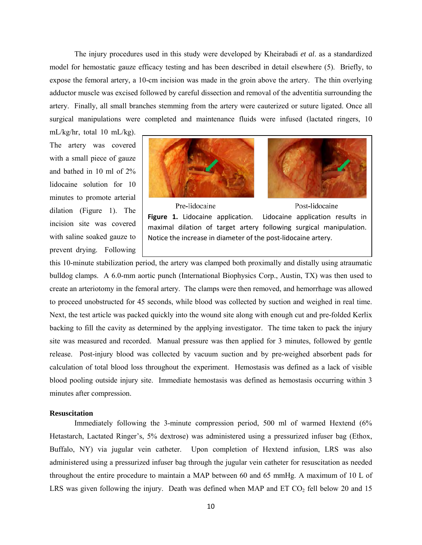The injury procedures used in this study were developed by Kheirabadi *et al*. as a standardized model for hemostatic gauze efficacy testing and has been described in detail elsewhere (5). Briefly, to expose the femoral artery, a 10-cm incision was made in the groin above the artery. The thin overlying adductor muscle was excised followed by careful dissection and removal of the adventitia surrounding the artery. Finally, all small branches stemming from the artery were cauterized or suture ligated. Once all surgical manipulations were completed and maintenance fluids were infused (lactated ringers, 10

mL/kg/hr, total 10 mL/kg). The artery was covered with a small piece of gauze and bathed in 10 ml of 2% lidocaine solution for 10 minutes to promote arterial dilation (Figure 1). The incision site was covered with saline soaked gauze to prevent drying. Following





Pre-lidocaine Post-lidocaine Figure 1. Lidocaine application. Lidocaine application results in maximal dilation of target artery following surgical manipulation. Notice the increase in diameter of the post-lidocaine artery.

this 10-minute stabilization period, the artery was clamped both proximally and distally using atraumatic bulldog clamps. A 6.0-mm aortic punch (International Biophysics Corp., Austin, TX) was then used to create an arteriotomy in the femoral artery. The clamps were then removed, and hemorrhage was allowed to proceed unobstructed for 45 seconds, while blood was collected by suction and weighed in real time. Next, the test article was packed quickly into the wound site along with enough cut and pre-folded Kerlix backing to fill the cavity as determined by the applying investigator. The time taken to pack the injury site was measured and recorded. Manual pressure was then applied for 3 minutes, followed by gentle release. Post-injury blood was collected by vacuum suction and by pre-weighed absorbent pads for calculation of total blood loss throughout the experiment. Hemostasis was defined as a lack of visible blood pooling outside injury site. Immediate hemostasis was defined as hemostasis occurring within 3 minutes after compression.

## <span id="page-9-0"></span>**Resuscitation**

Immediately following the 3-minute compression period, 500 ml of warmed Hextend (6% Hetastarch, Lactated Ringer's, 5% dextrose) was administered using a pressurized infuser bag (Ethox, Buffalo, NY) via jugular vein catheter. Upon completion of Hextend infusion, LRS was also administered using a pressurized infuser bag through the jugular vein catheter for resuscitation as needed throughout the entire procedure to maintain a MAP between 60 and 65 mmHg. A maximum of 10 L of LRS was given following the injury. Death was defined when MAP and  $ET CO<sub>2</sub>$  fell below 20 and 15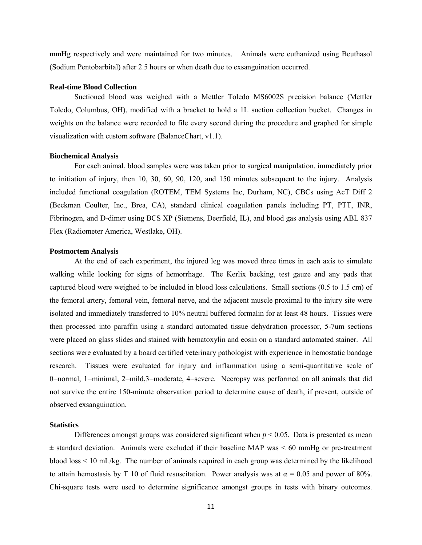mmHg respectively and were maintained for two minutes. Animals were euthanized using Beuthasol (Sodium Pentobarbital) after 2.5 hours or when death due to exsanguination occurred.

### <span id="page-10-0"></span>**Real-time Blood Collection**

Suctioned blood was weighed with a Mettler Toledo MS6002S precision balance (Mettler Toledo, Columbus, OH), modified with a bracket to hold a 1L suction collection bucket. Changes in weights on the balance were recorded to file every second during the procedure and graphed for simple visualization with custom software (BalanceChart, v1.1).

#### <span id="page-10-1"></span>**Biochemical Analysis**

For each animal, blood samples were was taken prior to surgical manipulation, immediately prior to initiation of injury, then 10, 30, 60, 90, 120, and 150 minutes subsequent to the injury. Analysis included functional coagulation (ROTEM, TEM Systems Inc, Durham, NC), CBCs using AcT Diff 2 (Beckman Coulter, Inc., Brea, CA), standard clinical coagulation panels including PT, PTT, INR, Fibrinogen, and D-dimer using BCS XP (Siemens, Deerfield, IL), and blood gas analysis using ABL 837 Flex (Radiometer America, Westlake, OH).

#### <span id="page-10-2"></span>**Postmortem Analysis**

At the end of each experiment, the injured leg was moved three times in each axis to simulate walking while looking for signs of hemorrhage. The Kerlix backing, test gauze and any pads that captured blood were weighed to be included in blood loss calculations. Small sections (0.5 to 1.5 cm) of the femoral artery, femoral vein, femoral nerve, and the adjacent muscle proximal to the injury site were isolated and immediately transferred to 10% neutral buffered formalin for at least 48 hours. Tissues were then processed into paraffin using a standard automated tissue dehydration processor, 5-7um sections were placed on glass slides and stained with hematoxylin and eosin on a standard automated stainer. All sections were evaluated by a board certified veterinary pathologist with experience in hemostatic bandage research. Tissues were evaluated for injury and inflammation using a semi-quantitative scale of 0=normal, 1=minimal, 2=mild,3=moderate, 4=severe. Necropsy was performed on all animals that did not survive the entire 150-minute observation period to determine cause of death, if present, outside of observed exsanguination.

#### <span id="page-10-3"></span>**Statistics**

Differences amongst groups was considered significant when  $p < 0.05$ . Data is presented as mean  $\pm$  standard deviation. Animals were excluded if their baseline MAP was  $\leq 60$  mmHg or pre-treatment blood loss < 10 mL/kg. The number of animals required in each group was determined by the likelihood to attain hemostasis by T 10 of fluid resuscitation. Power analysis was at  $\alpha = 0.05$  and power of 80%. Chi-square tests were used to determine significance amongst groups in tests with binary outcomes.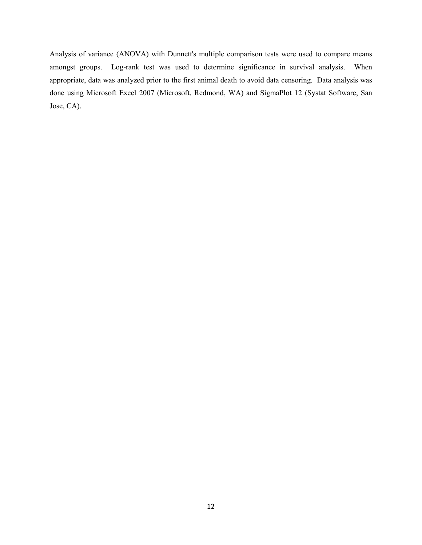Analysis of variance (ANOVA) with Dunnett's multiple comparison tests were used to compare means amongst groups. Log-rank test was used to determine significance in survival analysis. When appropriate, data was analyzed prior to the first animal death to avoid data censoring. Data analysis was done using Microsoft Excel 2007 (Microsoft, Redmond, WA) and SigmaPlot 12 (Systat Software, San Jose, CA).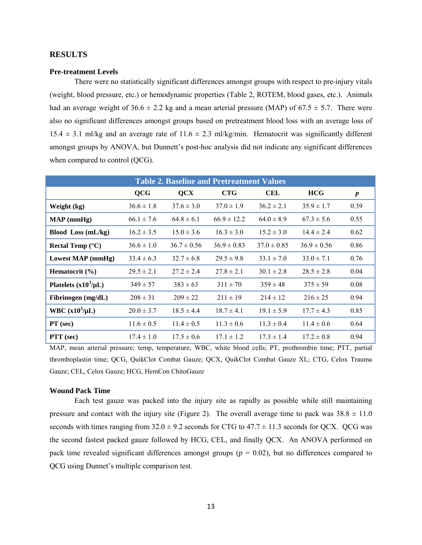## <span id="page-12-0"></span>**RESULTS**

### <span id="page-12-1"></span>**Pre-treatment Levels**

There were no statistically significant differences amongst groups with respect to pre-injury vitals (weight, blood pressure, etc.) or hemodynamic properties (Table 2, ROTEM, blood gases, etc.). Animals had an average weight of  $36.6 \pm 2.2$  kg and a mean arterial pressure (MAP) of  $67.5 \pm 5.7$ . There were also no significant differences amongst groups based on pretreatment blood loss with an average loss of  $15.4 \pm 3.1$  ml/kg and an average rate of  $11.6 \pm 2.3$  ml/kg/min. Hematocrit was significantly different amongst groups by ANOVA, but Dunnett's post-hoc analysis did not indicate any significant differences when compared to control (QCG).

| <b>Table 2. Baseline and Pretreatment Values</b> |                |                 |                 |                 |                 |                  |  |
|--------------------------------------------------|----------------|-----------------|-----------------|-----------------|-----------------|------------------|--|
|                                                  | <b>QCG</b>     | <b>QCX</b>      | <b>CTG</b>      | <b>CEL</b>      | HCG             | $\boldsymbol{p}$ |  |
| Weight (kg)                                      | $36.6 \pm 1.8$ | $37.6 \pm 3.0$  | $37.0 \pm 1.9$  | $36.2 \pm 2.1$  | $35.9 \pm 1.7$  | 0.39             |  |
| $MAP$ (mmHg)                                     | $66.1 \pm 7.6$ | $64.8 \pm 6.1$  | $66.9 \pm 12.2$ | $64.0 \pm 8.9$  | $67.3 \pm 5.6$  | 0.55             |  |
| Blood Loss (mL/kg)                               | $16.2 \pm 3.5$ | $15.0 \pm 3.6$  | $16.3 \pm 3.0$  | $15.2 \pm 3.0$  | $14.4 \pm 2.4$  | 0.62             |  |
| Rectal Temp $(^{\circ}C)$                        | $36.6 \pm 1.0$ | $36.7 \pm 0.56$ | $36.9 \pm 0.83$ | $37.0 \pm 0.85$ | $36.9 \pm 0.56$ | 0.86             |  |
| Lowest MAP (mmHg)                                | $33.4 \pm 6.3$ | $32.7 \pm 6.8$  | $29.5 \pm 9.8$  | $33.1 \pm 7.0$  | $33.0 \pm 7.1$  | 0.76             |  |
| Hematocrit $(\% )$                               | $29.5 \pm 2.1$ | $27.2 \pm 2.4$  | $27.8 \pm 2.1$  | $30.1 \pm 2.8$  | $28.5 \pm 2.8$  | 0.04             |  |
| Platelets $(x10^3/\mu L)$                        | $349 \pm 57$   | $383 \pm 63$    | $311 \pm 70$    | $359 \pm 48$    | $375 \pm 59$    | 0.08             |  |
| Fibrinogen (mg/dL)                               | $208 \pm 31$   | $209 \pm 22$    | $211 \pm 19$    | $214 \pm 12$    | $216 \pm 25$    | 0.94             |  |
| WBC $(x10^3/\mu L)$                              | $20.0 \pm 3.7$ | $18.5 \pm 4.4$  | $18.7 \pm 4.1$  | $19.1 \pm 5.9$  | $17.7 \pm 4.3$  | 0.85             |  |
| $PT$ (sec)                                       | $11.6 \pm 0.5$ | $11.4 \pm 0.5$  | $11.3 \pm 0.6$  | $11.3 \pm 0.4$  | $11.4 \pm 0.6$  | 0.64             |  |
| PTT (sec)                                        | $17.4 \pm 1.0$ | $17.5 \pm 0.6$  | $17.1 \pm 1.2$  | $17.3 \pm 1.4$  | $17.2 \pm 0.8$  | 0.94             |  |

MAP, mean arterial pressure; temp, temperature; WBC, white blood cells; PT, prothrombin time; PTT, partial thromboplastin time; QCG, QuikClot Combat Gauze; QCX, QuikClot Combat Gauze XL; CTG, Celox Trauma Gauze; CEL, Celox Gauze; HCG, HemCon ChitoGauze

#### <span id="page-12-2"></span>**Wound Pack Time**

Each test gauze was packed into the injury site as rapidly as possible while still maintaining pressure and contact with the injury site (Figure 2). The overall average time to pack was  $38.8 \pm 11.0$ seconds with times ranging from  $32.0 \pm 9.2$  seconds for CTG to  $47.7 \pm 11.3$  seconds for QCX. QCG was the second fastest packed gauze followed by HCG, CEL, and finally QCX. An ANOVA performed on pack time revealed significant differences amongst groups ( $p = 0.02$ ), but no differences compared to QCG using Dunnet's multiple comparison test.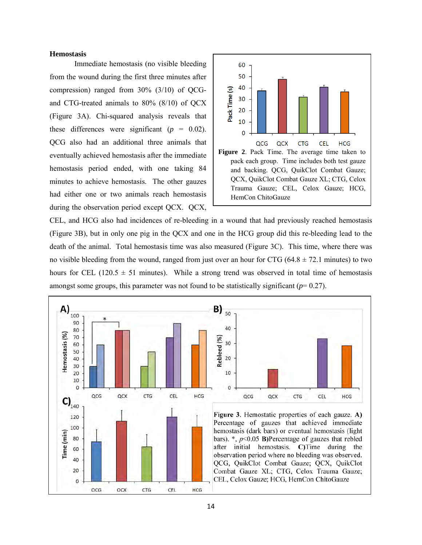#### <span id="page-13-0"></span>**Hemostasis**

Immediate hemostasis (no visible bleeding from the wound during the first three minutes after compression) ranged from 30% (3/10) of QCGand CTG-treated animals to 80% (8/10) of QCX (Figure 3A). Chi-squared analysis reveals that these differences were significant  $(p = 0.02)$ . QCG also had an additional three animals that eventually achieved hemostasis after the immediate hemostasis period ended, with one taking 84 minutes to achieve hemostasis. The other gauzes had either one or two animals reach hemostasis during the observation period except QCX. QCX,



CEL, and HCG also had incidences of re-bleeding in a wound that had previously reached hemostasis (Figure 3B), but in only one pig in the QCX and one in the HCG group did this re-bleeding lead to the death of the animal. Total hemostasis time was also measured (Figure 3C). This time, where there was no visible bleeding from the wound, ranged from just over an hour for CTG (64.8  $\pm$  72.1 minutes) to two hours for CEL (120.5  $\pm$  51 minutes). While a strong trend was observed in total time of hemostasis amongst some groups, this parameter was not found to be statistically significant  $(p=0.27)$ .

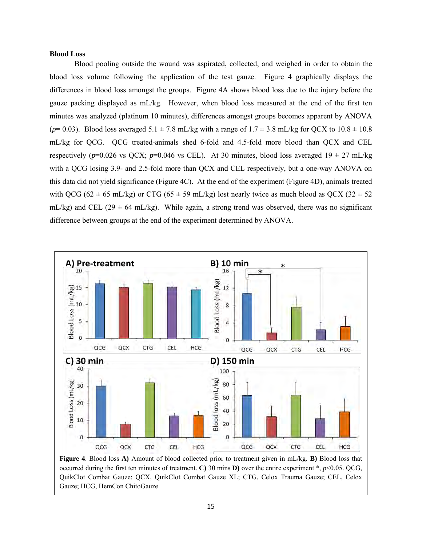#### <span id="page-14-0"></span>**Blood Loss**

Blood pooling outside the wound was aspirated, collected, and weighed in order to obtain the blood loss volume following the application of the test gauze. Figure 4 graphically displays the differences in blood loss amongst the groups. Figure 4A shows blood loss due to the injury before the gauze packing displayed as mL/kg. However, when blood loss measured at the end of the first ten minutes was analyzed (platinum 10 minutes), differences amongst groups becomes apparent by ANOVA  $(p=0.03)$ . Blood loss averaged  $5.1 \pm 7.8$  mL/kg with a range of  $1.7 \pm 3.8$  mL/kg for QCX to  $10.8 \pm 10.8$ mL/kg for QCG. QCG treated-animals shed 6-fold and 4.5-fold more blood than QCX and CEL respectively ( $p=0.026$  vs QCX;  $p=0.046$  vs CEL). At 30 minutes, blood loss averaged  $19 \pm 27$  mL/kg with a QCG losing 3.9- and 2.5-fold more than QCX and CEL respectively, but a one-way ANOVA on this data did not yield significance (Figure 4C). At the end of the experiment (Figure 4D), animals treated with QCG (62  $\pm$  65 mL/kg) or CTG (65  $\pm$  59 mL/kg) lost nearly twice as much blood as QCX (32  $\pm$  52 mL/kg) and CEL (29  $\pm$  64 mL/kg). While again, a strong trend was observed, there was no significant difference between groups at the end of the experiment determined by ANOVA.



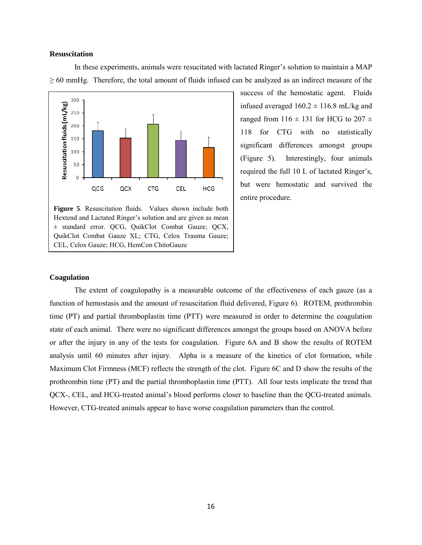#### <span id="page-15-0"></span>**Resuscitation**

In these experiments, animals were resucitated with lactated Ringer's solution to maintain a MAP  $\geq$  60 mmHg. Therefore, the total amount of fluids infused can be analyzed as an indirect measure of the



**Figure 5**. Resuscitation fluids. Values shown include both Hextend and Lactated Ringer's solution and are given as mean ± standard error. QCG, QuikClot Combat Gauze; QCX, QuikClot Combat Gauze XL; CTG, Celox Trauma Gauze; CEL, Celox Gauze; HCG, HemCon ChitoGauze

success of the hemostatic agent. Fluids infused averaged  $160.2 \pm 116.8$  mL/kg and ranged from  $116 \pm 131$  for HCG to  $207 \pm 131$ 118 for CTG with no statistically significant differences amongst groups (Figure 5). Interestingly, four animals required the full 10 L of lactated Ringer's, but were hemostatic and survived the entire procedure.

## <span id="page-15-1"></span>**Coagulation**

The extent of coagulopathy is a measurable outcome of the effectiveness of each gauze (as a function of hemostasis and the amount of resuscitation fluid delivered, Figure 6). ROTEM, prothrombin time (PT) and partial thromboplastin time (PTT) were measured in order to determine the coagulation state of each animal. There were no significant differences amongst the groups based on ANOVA before or after the injury in any of the tests for coagulation. Figure 6A and B show the results of ROTEM analysis until 60 minutes after injury. Alpha is a measure of the kinetics of clot formation, while Maximum Clot Firmness (MCF) reflects the strength of the clot. Figure 6C and D show the results of the prothrombin time (PT) and the partial thromboplastin time (PTT). All four tests implicate the trend that QCX-, CEL, and HCG-treated animal's blood performs closer to baseline than the QCG-treated animals. However, CTG-treated animals appear to have worse coagulation parameters than the control.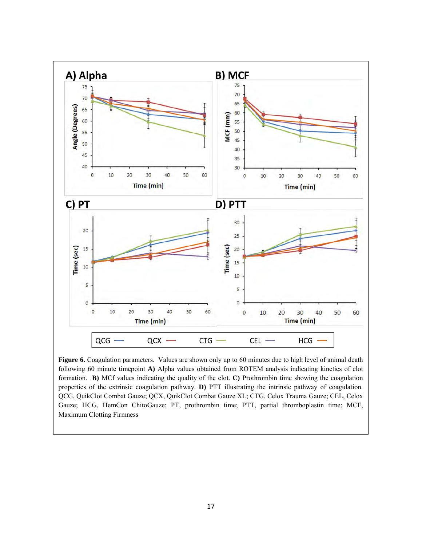

Figure 6. Coagulation parameters. Values are shown only up to 60 minutes due to high level of animal death following 60 minute timepoint **A)** Alpha values obtained from ROTEM analysis indicating kinetics of clot formation. **B)** MCf values indicating the quality of the clot. **C)** Prothrombin time showing the coagulation properties of the extrinsic coagulation pathway. **D)** PTT illustrating the intrinsic pathway of coagulation. QCG, QuikClot Combat Gauze; QCX, QuikClot Combat Gauze XL; CTG, Celox Trauma Gauze; CEL, Celox Gauze; HCG, HemCon ChitoGauze; PT, prothrombin time; PTT, partial thromboplastin time; MCF, Maximum Clotting Firmness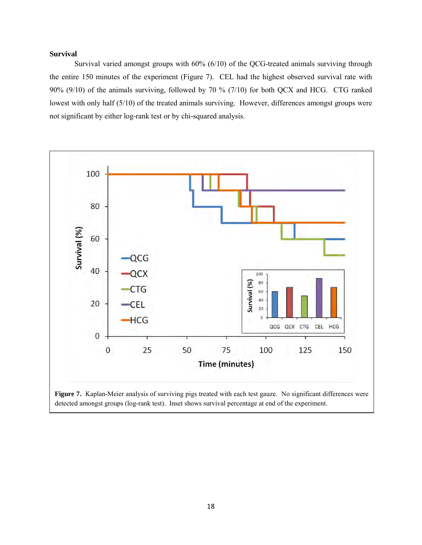## <span id="page-17-0"></span>**Survival**

Survival varied amongst groups with 60% (6/10) of the QCG-treated animals surviving through the entire 150 minutes of the experiment (Figure 7). CEL had the highest observed survival rate with 90% (9/10) of the animals surviving, followed by 70 % (7/10) for both QCX and HCG. CTG ranked lowest with only half (5/10) of the treated animals surviving. However, differences amongst groups were not significant by either log-rank test or by chi-squared analysis.



**Figure 7.** Kaplan-Meier analysis of surviving pigs treated with each test gauze. No significant differences were detected amongst groups (log-rank test). Inset shows survival percentage at end of the experiment.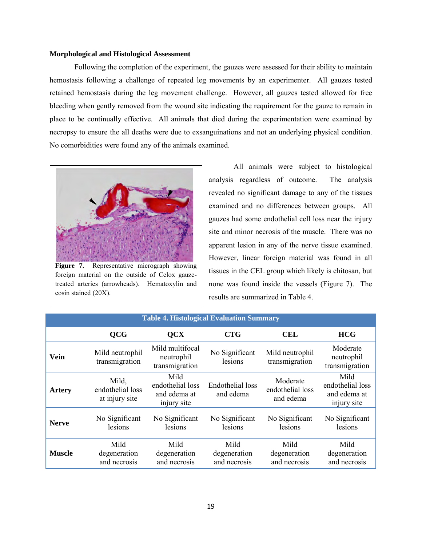#### <span id="page-18-0"></span>**Morphological and Histological Assessment**

Following the completion of the experiment, the gauzes were assessed for their ability to maintain hemostasis following a challenge of repeated leg movements by an experimenter. All gauzes tested retained hemostasis during the leg movement challenge. However, all gauzes tested allowed for free bleeding when gently removed from the wound site indicating the requirement for the gauze to remain in place to be continually effective. All animals that died during the experimentation were examined by necropsy to ensure the all deaths were due to exsanguinations and not an underlying physical condition. No comorbidities were found any of the animals examined.



**Figure 7.** Representative micrograph showing foreign material on the outside of Celox gauzetreated arteries (arrowheads). Hematoxylin and eosin stained (20X).

All animals were subject to histological analysis regardless of outcome. The analysis revealed no significant damage to any of the tissues examined and no differences between groups. All gauzes had some endothelial cell loss near the injury site and minor necrosis of the muscle. There was no apparent lesion in any of the nerve tissue examined. However, linear foreign material was found in all tissues in the CEL group which likely is chitosan, but none was found inside the vessels (Figure 7). The results are summarized in Table 4.

| <b>Table 4. Histological Evaluation Summary</b> |                                             |                                                         |                                      |                                           |                                                         |  |  |
|-------------------------------------------------|---------------------------------------------|---------------------------------------------------------|--------------------------------------|-------------------------------------------|---------------------------------------------------------|--|--|
|                                                 | <b>QCG</b>                                  | $OCX$                                                   | <b>CTG</b>                           | <b>CEL</b>                                | <b>HCG</b>                                              |  |  |
| Vein                                            | Mild neutrophil<br>transmigration           | Mild multifocal<br>neutrophil<br>transmigration         | No Significant<br>lesions            | Mild neutrophil<br>transmigration         | Moderate<br>neutrophil<br>transmigration                |  |  |
| <b>Artery</b>                                   | Mild,<br>endothelial loss<br>at injury site | Mild<br>endothelial loss<br>and edema at<br>injury site | <b>Endothelial</b> loss<br>and edema | Moderate<br>endothelial loss<br>and edema | Mild<br>endothelial loss<br>and edema at<br>injury site |  |  |
| <b>Nerve</b>                                    | No Significant<br>lesions                   | No Significant<br>lesions                               | No Significant<br>lesions            | No Significant<br>lesions                 | No Significant<br>lesions                               |  |  |
| <b>Muscle</b>                                   | Mild<br>degeneration<br>and necrosis        | Mild<br>degeneration<br>and necrosis                    | Mild<br>degeneration<br>and necrosis | Mild<br>degeneration<br>and necrosis      | Mild<br>degeneration<br>and necrosis                    |  |  |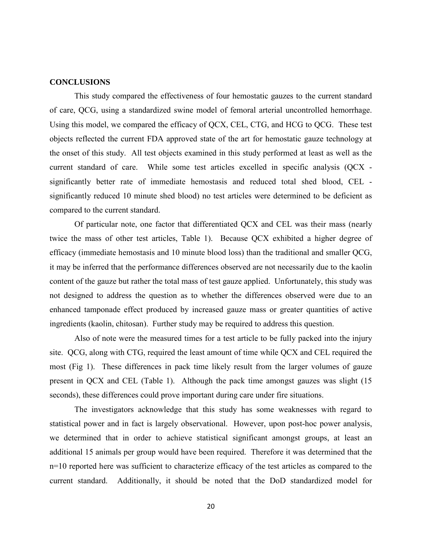#### <span id="page-19-0"></span>**CONCLUSIONS**

This study compared the effectiveness of four hemostatic gauzes to the current standard of care, QCG, using a standardized swine model of femoral arterial uncontrolled hemorrhage. Using this model, we compared the efficacy of QCX, CEL, CTG, and HCG to QCG. These test objects reflected the current FDA approved state of the art for hemostatic gauze technology at the onset of this study. All test objects examined in this study performed at least as well as the current standard of care. While some test articles excelled in specific analysis (QCX significantly better rate of immediate hemostasis and reduced total shed blood, CEL significantly reduced 10 minute shed blood) no test articles were determined to be deficient as compared to the current standard.

Of particular note, one factor that differentiated QCX and CEL was their mass (nearly twice the mass of other test articles, Table 1). Because QCX exhibited a higher degree of efficacy (immediate hemostasis and 10 minute blood loss) than the traditional and smaller QCG, it may be inferred that the performance differences observed are not necessarily due to the kaolin content of the gauze but rather the total mass of test gauze applied. Unfortunately, this study was not designed to address the question as to whether the differences observed were due to an enhanced tamponade effect produced by increased gauze mass or greater quantities of active ingredients (kaolin, chitosan). Further study may be required to address this question.

Also of note were the measured times for a test article to be fully packed into the injury site. QCG, along with CTG, required the least amount of time while QCX and CEL required the most (Fig 1). These differences in pack time likely result from the larger volumes of gauze present in QCX and CEL (Table 1). Although the pack time amongst gauzes was slight (15 seconds), these differences could prove important during care under fire situations.

The investigators acknowledge that this study has some weaknesses with regard to statistical power and in fact is largely observational. However, upon post-hoc power analysis, we determined that in order to achieve statistical significant amongst groups, at least an additional 15 animals per group would have been required. Therefore it was determined that the n=10 reported here was sufficient to characterize efficacy of the test articles as compared to the current standard. Additionally, it should be noted that the DoD standardized model for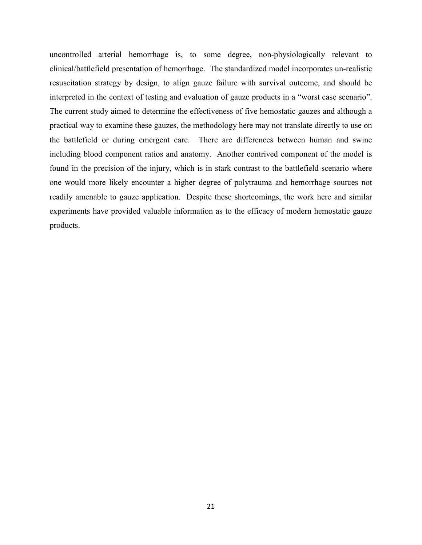uncontrolled arterial hemorrhage is, to some degree, non-physiologically relevant to clinical/battlefield presentation of hemorrhage. The standardized model incorporates un-realistic resuscitation strategy by design, to align gauze failure with survival outcome, and should be interpreted in the context of testing and evaluation of gauze products in a "worst case scenario". The current study aimed to determine the effectiveness of five hemostatic gauzes and although a practical way to examine these gauzes, the methodology here may not translate directly to use on the battlefield or during emergent care. There are differences between human and swine including blood component ratios and anatomy. Another contrived component of the model is found in the precision of the injury, which is in stark contrast to the battlefield scenario where one would more likely encounter a higher degree of polytrauma and hemorrhage sources not readily amenable to gauze application. Despite these shortcomings, the work here and similar experiments have provided valuable information as to the efficacy of modern hemostatic gauze products.